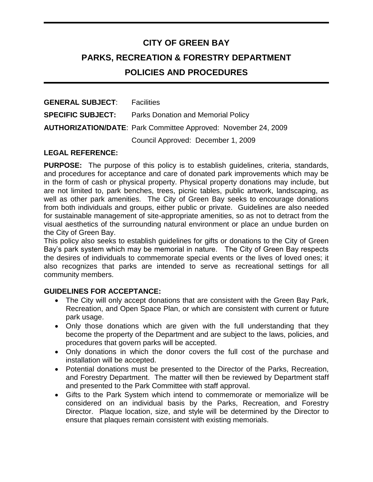# **CITY OF GREEN BAY PARKS, RECREATION & FORESTRY DEPARTMENT POLICIES AND PROCEDURES**

| <b>GENERAL SUBJECT:</b>  | <b>Facilities</b>                                                     |
|--------------------------|-----------------------------------------------------------------------|
| <b>SPECIFIC SUBJECT:</b> | <b>Parks Donation and Memorial Policy</b>                             |
|                          | <b>AUTHORIZATION/DATE: Park Committee Approved: November 24, 2009</b> |
|                          | Council Approved: December 1, 2009                                    |

## **LEGAL REFERENCE:**

**PURPOSE:** The purpose of this policy is to establish guidelines, criteria, standards, and procedures for acceptance and care of donated park improvements which may be in the form of cash or physical property. Physical property donations may include, but are not limited to, park benches, trees, picnic tables, public artwork, landscaping, as well as other park amenities. The City of Green Bay seeks to encourage donations from both individuals and groups, either public or private. Guidelines are also needed for sustainable management of site-appropriate amenities, so as not to detract from the visual aesthetics of the surrounding natural environment or place an undue burden on the City of Green Bay.

This policy also seeks to establish guidelines for gifts or donations to the City of Green Bay's park system which may be memorial in nature. The City of Green Bay respects the desires of individuals to commemorate special events or the lives of loved ones; it also recognizes that parks are intended to serve as recreational settings for all community members.

#### **GUIDELINES FOR ACCEPTANCE:**

- The City will only accept donations that are consistent with the Green Bay Park, Recreation, and Open Space Plan, or which are consistent with current or future park usage.
- Only those donations which are given with the full understanding that they become the property of the Department and are subject to the laws, policies, and procedures that govern parks will be accepted.
- Only donations in which the donor covers the full cost of the purchase and installation will be accepted.
- Potential donations must be presented to the Director of the Parks, Recreation, and Forestry Department. The matter will then be reviewed by Department staff and presented to the Park Committee with staff approval.
- Gifts to the Park System which intend to commemorate or memorialize will be considered on an individual basis by the Parks, Recreation, and Forestry Director. Plaque location, size, and style will be determined by the Director to ensure that plaques remain consistent with existing memorials.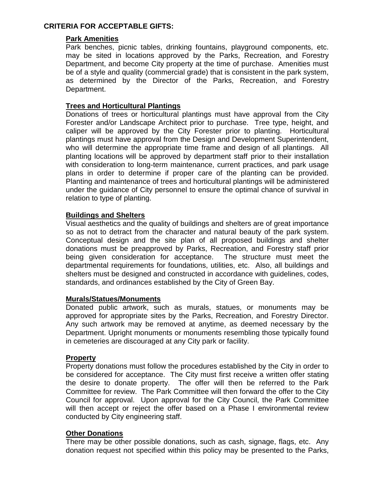## **CRITERIA FOR ACCEPTABLE GIFTS:**

#### **Park Amenities**

Park benches, picnic tables, drinking fountains, playground components, etc. may be sited in locations approved by the Parks, Recreation, and Forestry Department, and become City property at the time of purchase. Amenities must be of a style and quality (commercial grade) that is consistent in the park system, as determined by the Director of the Parks, Recreation, and Forestry Department.

#### **Trees and Horticultural Plantings**

Donations of trees or horticultural plantings must have approval from the City Forester and/or Landscape Architect prior to purchase. Tree type, height, and caliper will be approved by the City Forester prior to planting. Horticultural plantings must have approval from the Design and Development Superintendent, who will determine the appropriate time frame and design of all plantings. All planting locations will be approved by department staff prior to their installation with consideration to long-term maintenance, current practices, and park usage plans in order to determine if proper care of the planting can be provided. Planting and maintenance of trees and horticultural plantings will be administered under the guidance of City personnel to ensure the optimal chance of survival in relation to type of planting.

#### **Buildings and Shelters**

Visual aesthetics and the quality of buildings and shelters are of great importance so as not to detract from the character and natural beauty of the park system. Conceptual design and the site plan of all proposed buildings and shelter donations must be preapproved by Parks, Recreation, and Forestry staff prior being given consideration for acceptance. The structure must meet the departmental requirements for foundations, utilities, etc. Also, all buildings and shelters must be designed and constructed in accordance with guidelines, codes, standards, and ordinances established by the City of Green Bay.

#### **Murals/Statues/Monuments**

Donated public artwork, such as murals, statues, or monuments may be approved for appropriate sites by the Parks, Recreation, and Forestry Director. Any such artwork may be removed at anytime, as deemed necessary by the Department. Upright monuments or monuments resembling those typically found in cemeteries are discouraged at any City park or facility.

#### **Property**

Property donations must follow the procedures established by the City in order to be considered for acceptance. The City must first receive a written offer stating the desire to donate property. The offer will then be referred to the Park Committee for review. The Park Committee will then forward the offer to the City Council for approval. Upon approval for the City Council, the Park Committee will then accept or reject the offer based on a Phase I environmental review conducted by City engineering staff.

#### **Other Donations**

There may be other possible donations, such as cash, signage, flags, etc. Any donation request not specified within this policy may be presented to the Parks,